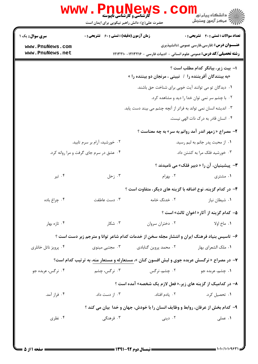|                      | حضرت علی(ع): دانش راهبر نیکویی برای ایمان است      |                                                                                             | ران دانشڪاه پيام نور <mark>−ا</mark><br>ا∛ مرکز آزمون وسنجش  |
|----------------------|----------------------------------------------------|---------------------------------------------------------------------------------------------|--------------------------------------------------------------|
| سری سوال: یک ۱       | <b>زمان آزمون (دقیقه) : تستی : 60 ٪ تشریحی : 0</b> |                                                                                             | تعداد سوالات : تستى : 40 تشريحي : 0                          |
| www.PnuNews.com      |                                                    |                                                                                             | <b>عنـــوان درس:</b> (فارسی،فارسی عمومی (دانشپذیری           |
| www.PnuNews.net      |                                                    | <b>رشته تحصیلی/کد درس:</b> عمومی علوم انسانی - ادبیات فارسی - ۱۲۱۳۲۱۶- ۱۲۱۳۲۱۰              |                                                              |
|                      |                                                    |                                                                                             | ۱– بیت زیر، بیانگر کدام مطلب است ؟                           |
|                      |                                                    | «به بینندگان آفریننده را / نبینی ، مرنجان دو بیننده را »                                    |                                                              |
|                      |                                                    | ۰۱ دیدگان تو می توانند آیت خوبی برای شناخت حق باشند.                                        |                                                              |
|                      |                                                    |                                                                                             | ۰۲ با چشم سر نمی توان خدا را دید و مشاهده کرد.               |
|                      |                                                    | ۰۳ اندیشه انسان نمی تواند به فراتر از آنچه چشم می بیند دست یابد.                            |                                                              |
|                      |                                                    |                                                                                             | ۰۴ انسان قادر به درک ذات الهی نیست.                          |
|                      |                                                    |                                                                                             | <b>۲</b> - مصراع « زمهر اندر آمد روانم به سر» به چه معناست ؟ |
|                      | ۲. خورشید، آرام بر سرم تابید.                      |                                                                                             | ۰۱ از محبت پدر جانم به لبم رسید.                             |
|                      | ۰۴ عشق در سرم جای گرفت و مرا روانه کرد.            |                                                                                             | ۰۳ خورشید فلک مرا به کشتن داد.                               |
|                      |                                                    |                                                                                             | <b>۳</b> - پیشینیان، آن را « دبیر فلک» می نامیدند ؟          |
| ۰۴ تیر               | ۰۳ زحل                                             | ۰۲ بهرام                                                                                    | ۰۱ مشتری                                                     |
|                      |                                                    | ۴– در کدام گزینه، نوع اضافه با گزینه های دیگر، متفاوت است ؟                                 |                                                              |
| ۰۴ چراغ باده         | ۰۳ دست عاطفت                                       | ۰۲ خدنگ خامه                                                                                | ۰۱ شیطان نیاز                                                |
|                      |                                                    |                                                                                             | <b>۵</b> – کدام گزینه از آثار« اخوان ثالث» است ؟             |
| ۰۴ تازه بهار         | ۰۳ شکار                                            | ٠٢ دختران سروان                                                                             | ۱. ماخ اولا                                                  |
|                      |                                                    | ۶– تاسیس بنیاد فرهنگ ایران و انتشار مجله سخن از خدمات کدام شاعر توانا و مترجم زبر دست است ؟ |                                                              |
| ۰۴ پرویز ناتل خانلری | ۰۳ مجتبی مینوی                                     | ۰۲ محمد پروین گنابادی                                                                       | ٠١. ملك الشعراي بهار                                         |
|                      |                                                    | ۷- در مصراع « نرگسش عربده جوی و لبش افسون کنان »، مستعارله و مستعار منه، به ترتیب کدام است؟ |                                                              |
| ۰۴ نرگس، عربده جو    | ۰۳ نرگس، چشم                                       | ۰۲ چشم، نرگس                                                                                | ۰۱ چشم، عربده جو                                             |
|                      |                                                    |                                                                                             |                                                              |
|                      |                                                    | ۸– در کدامیک از گزینه های زیر،« فعل لازم یک شخصه» آمده است ؟                                |                                                              |
| ۰۴ فراز آمد.         | ۰۳ از دست داد.                                     | ۰۲ یادم افتاد.                                                                              | ۰۱ تحصیل کرد.                                                |
|                      |                                                    | ۹- کدام بخش از عرفان، روابط و وظایف انسان را با خودش، جهان و خدا ً بیان می کند ؟            |                                                              |
| ۰۴ نظری              | ۰۳ فرهنگی                                          | ۰۲ دینی                                                                                     | ۰۱ عملی                                                      |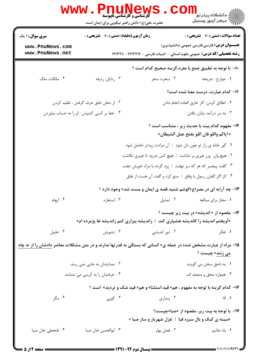|                                                                                                                        | <b>www.Pnunews</b><br><b>گارشناسی و کارشناسی ناپیوسته</b><br>حضرت علی(ع): دانش راهبر نیکویی برای ایمان است |                                                                                | راد دانشگاه پيام نور <mark>−</mark><br>ا <mark>ر</mark> درکز آزمون وسنجش                         |
|------------------------------------------------------------------------------------------------------------------------|------------------------------------------------------------------------------------------------------------|--------------------------------------------------------------------------------|--------------------------------------------------------------------------------------------------|
| <b>سری سوال : ۱ یک</b>                                                                                                 | <b>زمان آزمون (دقیقه) : تستی : 60 ٪ تشریحی : 0</b>                                                         |                                                                                | <b>تعداد سوالات : تستي : 40 قشريحي : 0</b>                                                       |
| www.PnuNews.com                                                                                                        |                                                                                                            |                                                                                | <b>عنـــوان درس:</b> فارسی،فارسی عمومی (دانشپذیری)                                               |
| www.PnuNews.net                                                                                                        |                                                                                                            | <b>رشته تحصیلی/کد درس:</b> عمومی علوم انسانی - ادبیات فارسی - ۱۲۱۳۲۱۶- ۱۲۱۳۲۱۰ |                                                                                                  |
|                                                                                                                        |                                                                                                            | ∙ا− با توجه به تطبيق جمع با مفرد،گزينه صحيح كدام است ؟                         |                                                                                                  |
| ۰۴ ملکات: ملک                                                                                                          | ۰۳ رذايل: رذيله                                                                                            | ۰۲ سحره: سحر                                                                   | ٠١. جوارح : جريحه                                                                                |
|                                                                                                                        |                                                                                                            |                                                                                | 11- كدام عبارت، درست معنا شده است؟                                                               |
|                                                                                                                        | ۰۲ از دهان خلق حرف گرفتن : تقلید کردن                                                                      |                                                                                | ٠١. اطلاق كردن: كار خارق العاده انجام دادن                                                       |
|                                                                                                                        | ۰۴ خط بر کسی کشیدن : او را به حساب نیاوردن                                                                 |                                                                                | ۰۳ به سر درآمد: پایان یافتن                                                                      |
|                                                                                                                        |                                                                                                            |                                                                                | <b>۱۲</b> - مفهوم کدام بیت با حدیث زیر ، متناسب است ؟<br>«اياكم واللو فان اللو يفتح عمل الشيطان» |
|                                                                                                                        |                                                                                                            | ۰۱ گور خانه ی راز تو چون دل شود ۱ آن مرادت زودتر حاصل شود                      |                                                                                                  |
|                                                                                                                        |                                                                                                            | ۰۲ هیچ وازر وزر غیری بر نداشت / هیچ کس ندرود تا چیزی نکاشت                     |                                                                                                  |
|                                                                                                                        |                                                                                                            | ۰۳ گفت پیغمبر که هر که سر نهفت / زود گردد با مراد خویش جفت                     |                                                                                                  |
|                                                                                                                        |                                                                                                            | ۰۴ کز اگر گفتن رسول با وفاق ۱ منع کرد و گفت آن هست از نفاق                     |                                                                                                  |
|                                                                                                                        |                                                                                                            | <b>۱۳</b> - چه آرایه ای در مصراع«گوشم شنید قصه ی ایمان و مست شد» وجود دارد ؟   |                                                                                                  |
| ۰۴ ایهام                                                                                                               |                                                                                                            | ٠١ مجاز براى مبالغه مسموع ٢٠ تمثيل مستعاره                                     |                                                                                                  |
|                                                                                                                        | «آویختم اندیشه را کاندیشه هشیاری کند / زاندیشه بیزاری کنم زاندیشه ها پژمرده ام»                            |                                                                                | <b>۱۴</b> - مقصود از « اندیشه» در بیت زیر چیست ؟                                                 |
| ۰۴ تخيل                                                                                                                | ۰۳ تشویش                                                                                                   | ۰۲ دور اندیشی                                                                  | ۰۱ تفکر                                                                                          |
| ۱۵- مراد از عبارت مشخص شده در جمله ی« کسانی که بستگی به قدرتها ندارند و در متن مشکلات معاصر <u>دادشان را از ته چاه</u> |                                                                                                            |                                                                                | می زنند» چیست ؟                                                                                  |
|                                                                                                                        | ۰۲ صدایشان به جایی نمی رسد.                                                                                |                                                                                | ۰۱ به ناحق سخن می گویند.                                                                         |
| ۰۴ حرفشان را به کرسی می نشانند.                                                                                        |                                                                                                            |                                                                                | ۰۳ همواره محق و منصف اند.                                                                        |
|                                                                                                                        |                                                                                                            | ۱۶- کدام گزینه با توجه به مفهوم ، هم« قید استثنا» و هم« قید شک و تردید» است ؟  |                                                                                                  |
| ۰۴ مگر                                                                                                                 | ۰۳ گويي                                                                                                    | ۰۲ پنداری                                                                      | $V$ . $V$                                                                                        |
|                                                                                                                        |                                                                                                            | «سینه ی کبک و بال سبزه قبا / غزل شهریار و ساز صبا »                            | <b>۱۷</b> - با توجه به بیت زیر، مقصود از «صبا»چیست؟                                              |
| ۰۴ فتحعلي خان صبا                                                                                                      | ۰۳ ابوالحسن خان صبا                                                                                        | ۰۲ فصل بهار                                                                    | <b>۱.</b> باد ملايم                                                                              |
|                                                                                                                        |                                                                                                            |                                                                                |                                                                                                  |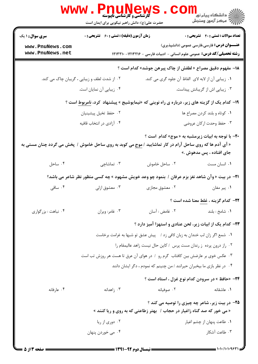|                                    | www . Pnu<br><b>کارشناسی و کارشناسی ناپیوسته</b><br>حضرت علی(ع): دانش راهبر نیکویی برای ایمان است              |                | <sup>ال</sup> ڪ دانشڪاه پيام نور <sup>دا</sup><br>ا∛ مرکز آزمون وسنڊش                                                                |
|------------------------------------|----------------------------------------------------------------------------------------------------------------|----------------|--------------------------------------------------------------------------------------------------------------------------------------|
| <b>سری سوال : ۱ یک</b>             | <b>زمان آزمون (دقیقه) : تستی : 60 ٪ تشریحی : 0</b>                                                             |                | <b>تعداد سوالات : تستي : 40 - تشريحي : 0</b>                                                                                         |
| www.PnuNews.com<br>www.PnuNews.net |                                                                                                                |                | <b>عنـــوان درس:</b> فارسی،فارسی عمومی (دانشپذیری)<br><b>رشته تحصیلی/کد درس:</b> عمومی علوم انسانی - ادبیات فارسی - ۱۲۱۳۲۱۶- ۱۲۱۳۲۱۰ |
|                                    |                                                                                                                |                | 18- مفهوم دقيق مصراع « لطفش از چاک پيرهن جوشد» کدام است ؟                                                                            |
|                                    | ۰۲ از شدت لطف و زیبایی ، گریبان چاک می کند.                                                                    |                | ٠١. زيبايي أن از لابه لاي الفاظ أن جلوه گري مي كند.                                                                                  |
|                                    | ۰۴ زیبایی آن نمایان است.                                                                                       |                | ۰۳ زیبایی اش از گریبانش پیداست.                                                                                                      |
|                                    | ۱۹- کدام یک از گزینه های زیر، درباره ی راه نوینی که «نیمایوشیج » پیشنهاد کرد، <u>نامربوط</u> است ؟             |                |                                                                                                                                      |
|                                    | ۰۲ حفظ تخیل پیشینیان                                                                                           |                | ٠١ كوتاه و بلند كردن مصراع ها                                                                                                        |
|                                    | ۰۴ آزادی در انتخاب قافیه                                                                                       |                | ۰۳ حفظ وحدت ارکان عروضی                                                                                                              |
|                                    | « آی آدم ها که روی ساحل آرام در کار تماشایید / <u>موج</u> می کوبد به روی ساحل خاموش / پخش می گردد چنان مستی به |                | +۲- با توجه به ابیات زیرمشبه به « موج» کدام  است ؟<br>جای افتاده ، پس مدهوش .»                                                       |
| ۰۴ ساحل                            | ۰۳ تماشاچی                                                                                                     | ۰۲ ساحل خاموش  | ۰۱ انسان مست                                                                                                                         |
|                                    | <b>۲۱</b> - در بیت «وآن شاهد نغز بزم عرفان / بنمود چو وعد خویش مشهود » چه کسی منظور نظر شاعر می باشد؟          |                |                                                                                                                                      |
| ۰۴ ساقی                            | ۰۳ معشوق ازلي                                                                                                  | ۰۲ معشوق مجازی | ۰۱ پیر مغان                                                                                                                          |
|                                    |                                                                                                                |                | <b>7۲- كدام گزينه ، غلط معنا شده است</b> ؟                                                                                           |
| ۰۴ نباهت : بزرگواری                | ۰۳ غامر: ويران                                                                                                 | ۰۲ غامض : آسان | ۰۱ شامخ : بلند                                                                                                                       |
|                                    |                                                                                                                |                | <b>۲۳</b> – کدام یک از ابیات زیر، لحن عنادی و استهزا آمیز دارد ؟                                                                     |
|                                    |                                                                                                                |                | ٠١ شمع اگر زان لب خندان به زبان لافي زد / پيش عشق تو شبها به غرامت برخاست                                                            |
|                                    | ٠٢ راز درون پرده ز رندان مست پرس / كاين حال نيست زاهد عاليمقام را                                              |                |                                                                                                                                      |
|                                    | ۰۳ عکس خوی بر عارضش بین کافتاب گرم رو ۱ در هوای آن عرق تا هست هر روزش تب است                                   |                |                                                                                                                                      |
|                                    |                                                                                                                |                | ۰۴ در نظر بازی ما بیخبران حیرانند / من چنینم که نمودم ، دگر ایشان دانند                                                              |
|                                    |                                                                                                                |                | <b>34- «حافظ » در سرودن کدام نوع غزل ، استاد است ؟</b>                                                                               |
| ۰۴ عارفانه                         | ۰۳ زاهدانه                                                                                                     | ۰۲ صوفیانه     | ۰۱ عاشقانه                                                                                                                           |
|                                    |                                                                                                                |                | <b>۲۵</b> - در بیت زیر، شاعر چه چیزی را توصیه می کند ؟<br>« می خور که صد گناه زاغیار در حجاب / بهتر زطاعتی که به روی و ریا کنند »    |
|                                    | ۰۲ دوری از ریا                                                                                                 |                | ۰۱ طاعت پنهان از چشم اغیار                                                                                                           |
|                                    | ۰۴ می خوردن پنهان                                                                                              |                | ۰۳ طاعت آشکار                                                                                                                        |
|                                    |                                                                                                                |                |                                                                                                                                      |

 $= 1.111111987$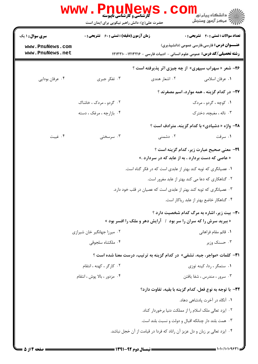|                                    | <b>www . Pnui</b><br><b>گارشناسی و کارشناسی ناپیوسته</b><br>حضرت علی(ع): دانش راهبر نیکویی برای ایمان است |               | ڪ دانشڪاه پيا <sub>م</sub> نور<br>7ء مرڪز آزمون وسنڊش                                                                                |
|------------------------------------|-----------------------------------------------------------------------------------------------------------|---------------|--------------------------------------------------------------------------------------------------------------------------------------|
| <b>سری سوال : ۱ یک</b>             | <b>زمان آزمون (دقیقه) : تستی : 60 ٪ تشریحی : 0</b>                                                        |               | <b>تعداد سوالات : تستي : 40 - تشريحي : 0</b>                                                                                         |
| www.PnuNews.com<br>www.PnuNews.net |                                                                                                           |               | <b>عنـــوان درس:</b> فارسی،فارسی عمومی (دانشپذیری)<br><b>رشته تحصیلی/کد درس:</b> عمومی علوم انسانی - ادبیات فارسی - ۱۲۱۳۲۱۶- ۱۲۱۳۲۱۰ |
|                                    |                                                                                                           |               | <b>۲۶-</b> شعر « سهراب سپهری» از چه چیزی اثر پذیرفته است ؟                                                                           |
| ۰۴ عرفان بودايي                    | ۰۳ تفکر جبری                                                                                              | ۰۲ اشعار هندی | ٠١ عرفان اسلامي                                                                                                                      |
|                                    |                                                                                                           |               | <b>۲۷</b> - در کدام گزینه ، همه موارد، اسم مصغرند ؟                                                                                  |
|                                    | ۰۲ گردو ، مردک ، خاشاک                                                                                    |               | ۰۱ کوچه ، گردو ، مردک                                                                                                                |
|                                    | ۰۴ بازارچه ، مرغک ، دسته                                                                                  |               | ۰۳ ناله ، مغبچه، دخترک                                                                                                               |
|                                    |                                                                                                           |               | <b>۲۸- واژه « دشیادی» با کدام گزینه، مترادف است</b> ؟                                                                                |
| ۰۴ غیبت                            | ۰۳ سرسختی                                                                                                 | ۰۲ دشمنی      | ۰۱ سرقت                                                                                                                              |
|                                    |                                                                                                           |               | <b>۲۹</b> - معنی صحیح عبارت زیر، کدام گزینه است ؟                                                                                    |
|                                    |                                                                                                           |               | « عاصی که دست بردارد ، به از عابد که در سردارد .»                                                                                    |
|                                    |                                                                                                           |               | ۰۱ عصیانگری که توبه کند بهتر از عابدی است که در فکر گناه است.                                                                        |
|                                    |                                                                                                           |               | ۰۲ گناهکاری که دعا می کند بهتر از عابد مغرور است.                                                                                    |
|                                    |                                                                                                           |               | ۰۳ عصیانگری که توبه کند بهتر از عابدی است که عصیان در قلب خود دارد.                                                                  |
|                                    |                                                                                                           |               | ۰۴ گناهكار خاضع بهتر از عابد رياكار است.                                                                                             |
|                                    |                                                                                                           |               | <b>۳۰</b> - بیت زیر، اشاره به مرگ کدام شخصیت دارد ؟                                                                                  |
|                                    | « ببرید سرش را که سران را سر بود ۱ آرایش دهر و ملک را افسر بود »                                          |               |                                                                                                                                      |
|                                    | ۰۲ میرزا جهانگیر خان شیرازی                                                                               |               | ٠١. قائم مقام فراهاني                                                                                                                |
|                                    | ۰۴ ملکشاه سلجوقی                                                                                          |               | ۰۳ حسنک وزیر                                                                                                                         |
|                                    | 31- كلمات «مواجر، جبه، تشفي» در كدام گزينه به ترتيب، درست معنا شده است ؟                                  |               |                                                                                                                                      |
|                                    | ۰۲ کارگر ، کهنه ، انتقام                                                                                  |               | ۰۱ ستمگر ، ردا، کینه توزی                                                                                                            |
|                                    | ۰۴ مزدور ، بالا پوش ، انتقام                                                                              |               | ۰۳ سرور ، مندرس ، شفا یافتن                                                                                                          |
|                                    |                                                                                                           |               | ٣٢- با توجه به نوع فعل، كدام گزينه با بقيه، تفاوت دارد؟                                                                              |
|                                    |                                                                                                           |               | ۰۱ آنگاه در آخرت پادشاهی دهاد.                                                                                                       |
|                                    |                                                                                                           |               | ۰۲ ایزد تعالی ملک اسلام را از مملکت دنیا برخوردار کناد.                                                                              |
|                                    |                                                                                                           |               | ۰۳ همت بلند دار چنانکه اقبال و دولت و نسبت بلند است.                                                                                 |
|                                    |                                                                                                           |               | ۰۴ ایزد تعالی بر زبان و دل عزیز آن راناد که فردا در قیامت از آن خجل نباشد.                                                           |
|                                    |                                                                                                           |               |                                                                                                                                      |